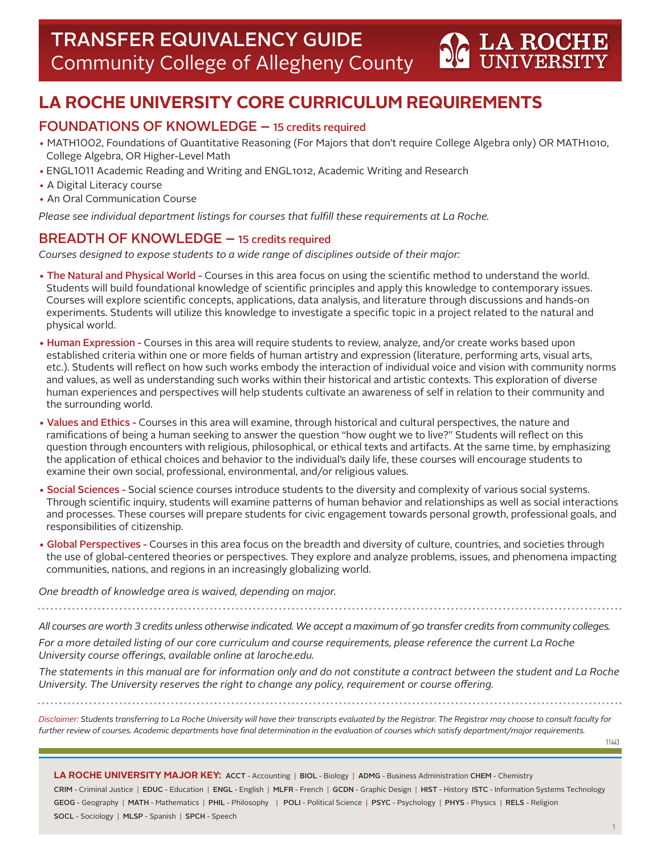# **LA ROCHE UNIVERSITY CORE CURRICULUM REQUIREMENTS**

# FOUNDATIONS OF KNOWLEDGE – 15 credits required

- MATH1002, Foundations of Quantitative Reasoning (For Majors that don't require College Algebra only) OR MATH1010, College Algebra, OR Higher-Level Math
- ENGL1011 Academic Reading and Writing and ENGL1012, Academic Writing and Research
- A Digital Literacy course
- An Oral Communication Course

*Please see individual department listings for courses that fulfill these requirements at La Roche.*

# BREADTH OF KNOWLEDGE – 15 credits required

*Courses designed to expose students to a wide range of disciplines outside of their major:*

- The Natural and Physical World Courses in this area focus on using the scientific method to understand the world. Students will build foundational knowledge of scientific principles and apply this knowledge to contemporary issues. Courses will explore scientific concepts, applications, data analysis, and literature through discussions and hands-on experiments. Students will utilize this knowledge to investigate a specific topic in a project related to the natural and physical world.
- Human Expression Courses in this area will require students to review, analyze, and/or create works based upon established criteria within one or more fields of human artistry and expression (literature, performing arts, visual arts, etc.). Students will reflect on how such works embody the interaction of individual voice and vision with community norms and values, as well as understanding such works within their historical and artistic contexts. This exploration of diverse human experiences and perspectives will help students cultivate an awareness of self in relation to their community and the surrounding world.
- Values and Ethics Courses in this area will examine, through historical and cultural perspectives, the nature and ramifications of being a human seeking to answer the question "how ought we to live?" Students will reflect on this question through encounters with religious, philosophical, or ethical texts and artifacts. At the same time, by emphasizing the application of ethical choices and behavior to the individual's daily life, these courses will encourage students to examine their own social, professional, environmental, and/or religious values.
- Social Sciences Social science courses introduce students to the diversity and complexity of various social systems. Through scientific inquiry, students will examine patterns of human behavior and relationships as well as social interactions and processes. These courses will prepare students for civic engagement towards personal growth, professional goals, and responsibilities of citizenship.
- Global Perspectives Courses in this area focus on the breadth and diversity of culture, countries, and societies through the use of global-centered theories or perspectives. They explore and analyze problems, issues, and phenomena impacting communities, nations, and regions in an increasingly globalizing world.

*One breadth of knowledge area is waived, depending on major.* 

*All courses are worth 3 credits unless otherwise indicated. We accept a maximum of 90 transfer credits from community colleges.*

*For a more detailed listing of our core curriculum and course requirements, please reference the current La Roche University course offerings, available online at laroche.edu.*

*The statements in this manual are for information only and do not constitute a contract between the student and La Roche University. The University reserves the right to change any policy, requirement or course offering.*

*Disclaimer: Students transferring to La Roche University will have their transcripts evaluated by the Registrar. The Registrar may choose to consult faculty for further review of courses. Academic departments have final determination in the evaluation of courses which satisfy department/major requirements.*

11443

**LA ROCHE** 

**LA ROCHE UNIVERSITY MAJOR KEY:** ACCT - Accounting | BIOL - Biology | ADMG - Business Administration CHEM - Chemistry CRIM - Criminal Justice | EDUC - Education | ENGL - English | MLFR - French | GCDN - Graphic Design | HIST - History ISTC - Information Systems Technology GEOG - Geography | MATH - Mathematics | PHIL - Philosophy | POLI - Political Science | PSYC - Psychology | PHYS - Physics | RELS - Religion SOCL - Sociology | MLSP - Spanish | SPCH - Speech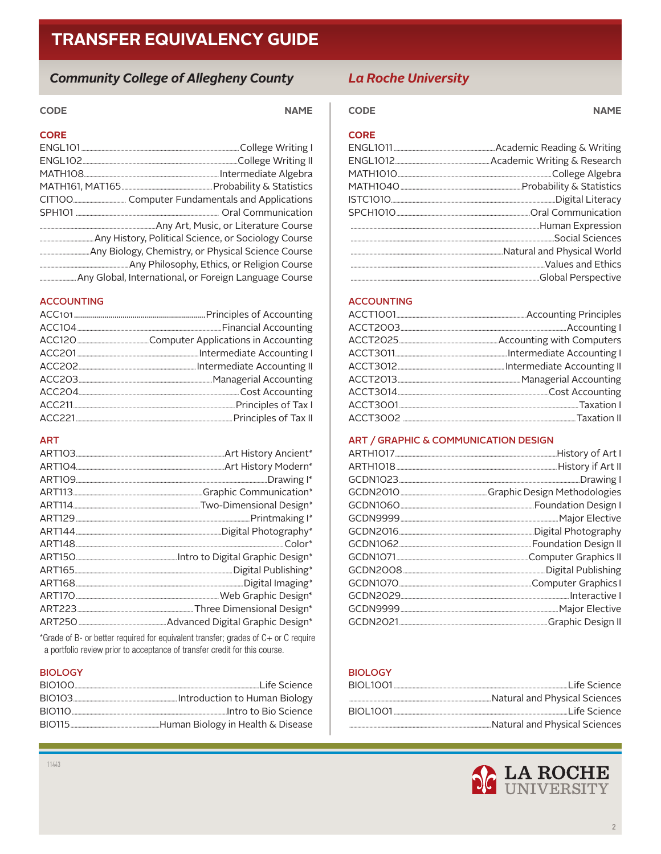# **Community College of Allegheny County**

# **CODE**

| <b>CORE</b> |  |
|-------------|--|
|             |  |
|             |  |
|             |  |
|             |  |
|             |  |
|             |  |
|             |  |
|             |  |
|             |  |
|             |  |
|             |  |

# **ACCOUNTING**

## **ART**

\*Grade of B- or better required for equivalent transfer; grades of C+ or C require a portfolio review prior to acceptance of transfer credit for this course.

#### **BIOLOGY**

| Life Science |
|--------------|
|              |
|              |
|              |
|              |

# **La Roche University**

## **CODE**

**NAME** 

## **CORE**

**NAME** 

## **ACCOUNTING**

#### ART / GRAPHIC & COMMUNICATION DESIGN

## **BIOLOGY**

| BIOI 1001   | Life Science…                 |
|-------------|-------------------------------|
|             | Natural and Physical Sciences |
| BIOI 1001 - |                               |
|             | Natural and Physical Sciences |

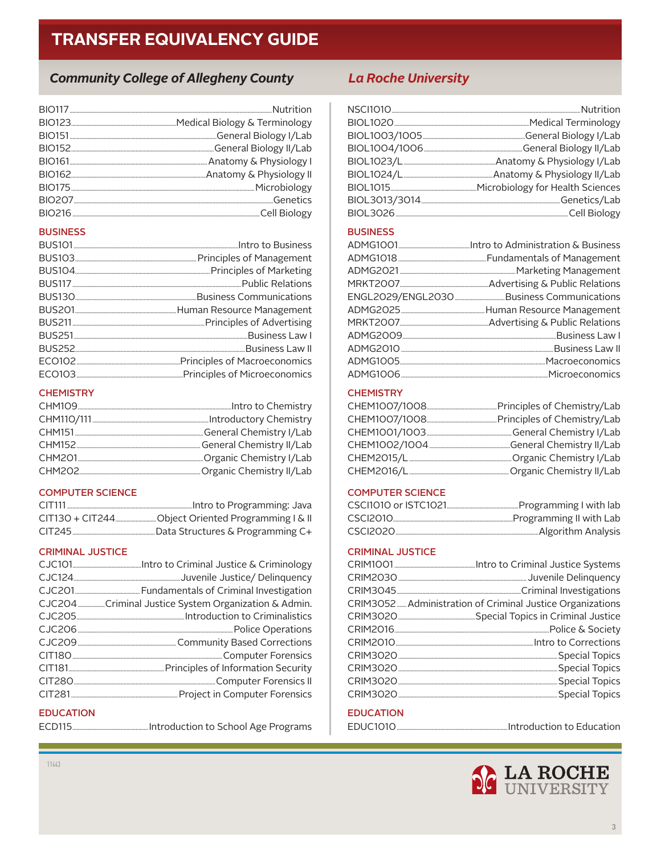# **Community College of Allegheny County**

#### **BUSINESS**

### **CHEMISTRY**

| General Chemistry I/Lab |
|-------------------------|
|                         |
|                         |
|                         |

#### **COMPUTER SCIENCE**

| CIT111 |  |
|--------|--|
|        |  |
|        |  |

## **CRIMINAL JUSTICE**

| CJC204 Criminal Justice System Organization & Admin. |  |
|------------------------------------------------------|--|
|                                                      |  |
|                                                      |  |
|                                                      |  |
|                                                      |  |
|                                                      |  |
|                                                      |  |
|                                                      |  |

.............Introduction to School Age Programs

# **EDUCATION**

# **La Roche University**

## **BUSINESS**

#### **CHEMISTRY**

## **COMPUTER SCIENCE**

| CSCI2010 | "Programming II with Lab |
|----------|--------------------------|
| CSCI2020 | Algorithm Analysis       |

#### **CRIMINAL JUSTICE**

| CRIM3052 Administration of Criminal Justice Organizations |
|-----------------------------------------------------------|
|                                                           |
|                                                           |
|                                                           |
|                                                           |
|                                                           |
|                                                           |
|                                                           |

# **EDUCATION**

EDUC1010....

## ...Introduction to Education

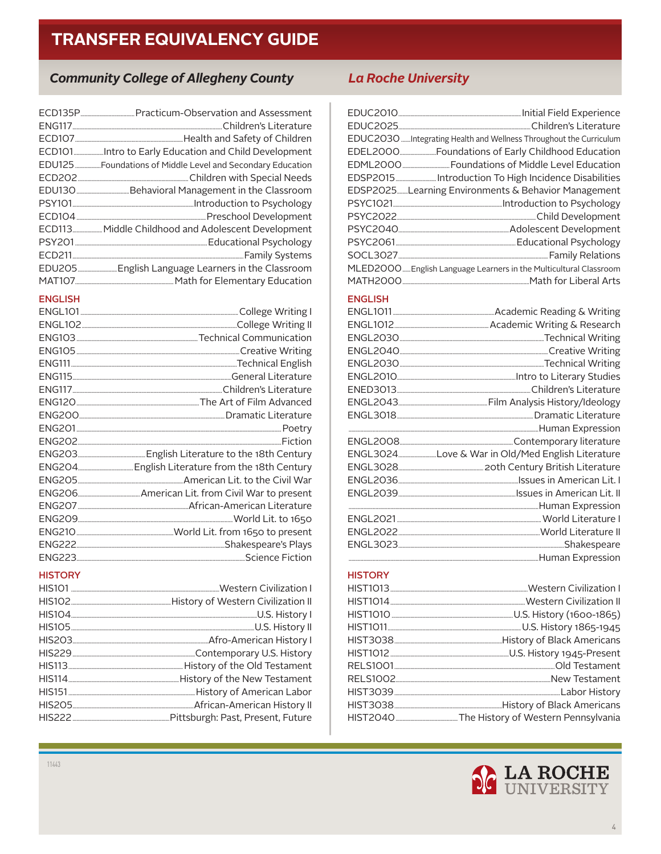# **Community College of Allegheny County**

| ECD113 Middle Childhood and Adolescent Development                |
|-------------------------------------------------------------------|
|                                                                   |
|                                                                   |
|                                                                   |
| MAT107 ____________________________ Math for Elementary Education |

#### **ENGLISH**

| ENG200 |
|--------|
|        |
|        |
|        |
|        |
|        |
|        |
|        |
|        |
|        |
|        |
|        |
|        |

### **HISTORY**

# **La Roche University**

| EDUC2030Integrating Health and Wellness Throughout the Curriculum |
|-------------------------------------------------------------------|
|                                                                   |
|                                                                   |
|                                                                   |
| EDSP2025Learning Environments & Behavior Management               |
|                                                                   |
|                                                                   |
|                                                                   |
|                                                                   |
|                                                                   |
| MLED2000 English Language Learners in the Multicultural Classroom |
|                                                                   |

## **ENGLISH**

| ENGL3024Love & War in Old/Med English Literature |  |
|--------------------------------------------------|--|
|                                                  |  |
|                                                  |  |
|                                                  |  |
|                                                  |  |
|                                                  |  |
|                                                  |  |
|                                                  |  |
|                                                  |  |

## **HISTORY**

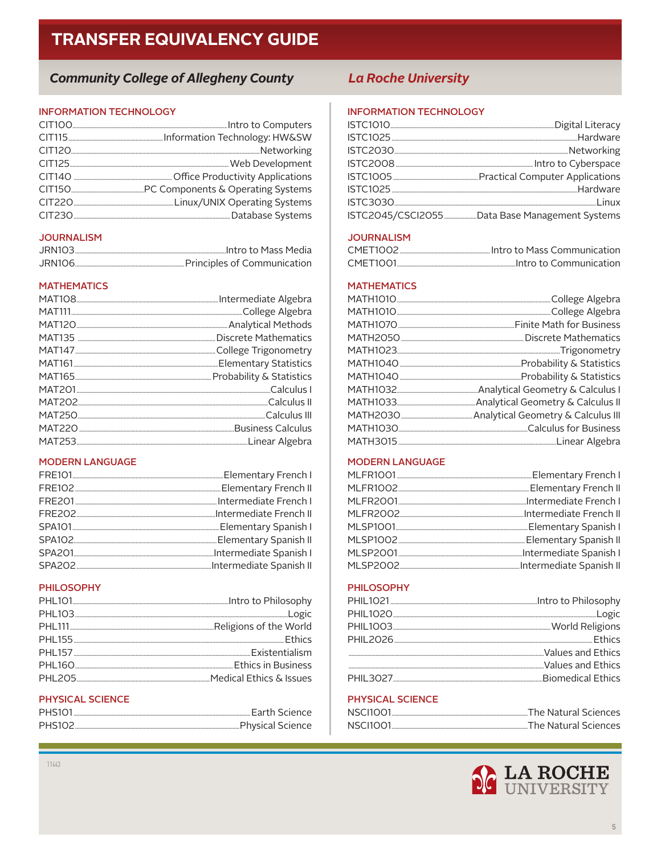# **Community College of Allegheny County**

#### **INFORMATION TECHNOLOGY**

### **JOURNALISM**

| <b>JRN103</b> |  |
|---------------|--|
| JRN106        |  |

## **MATHEMATICS**

#### **MODERN LANGUAGE**

#### **PHILOSOPHY**

| PHL205 |
|--------|

## PHYSICAL SCIENCE

| <b>PHS101</b>  |                  |
|----------------|------------------|
| <b>PHS102.</b> | Physical Science |

# **La Roche University**

#### **INFORMATION TECHNOLOGY**

## **JOURNALISM**

| CMFT1001 | Intro to Communication |
|----------|------------------------|

## **MATHEMATICS**

### **MODERN LANGUAGE**

#### **PHILOSOPHY**

#### PHYSICAL SCIENCE

| NSC11001 | "The Natural Sciences |
|----------|-----------------------|
| NSCI1001 | "The Natural Sciences |



 $11443$